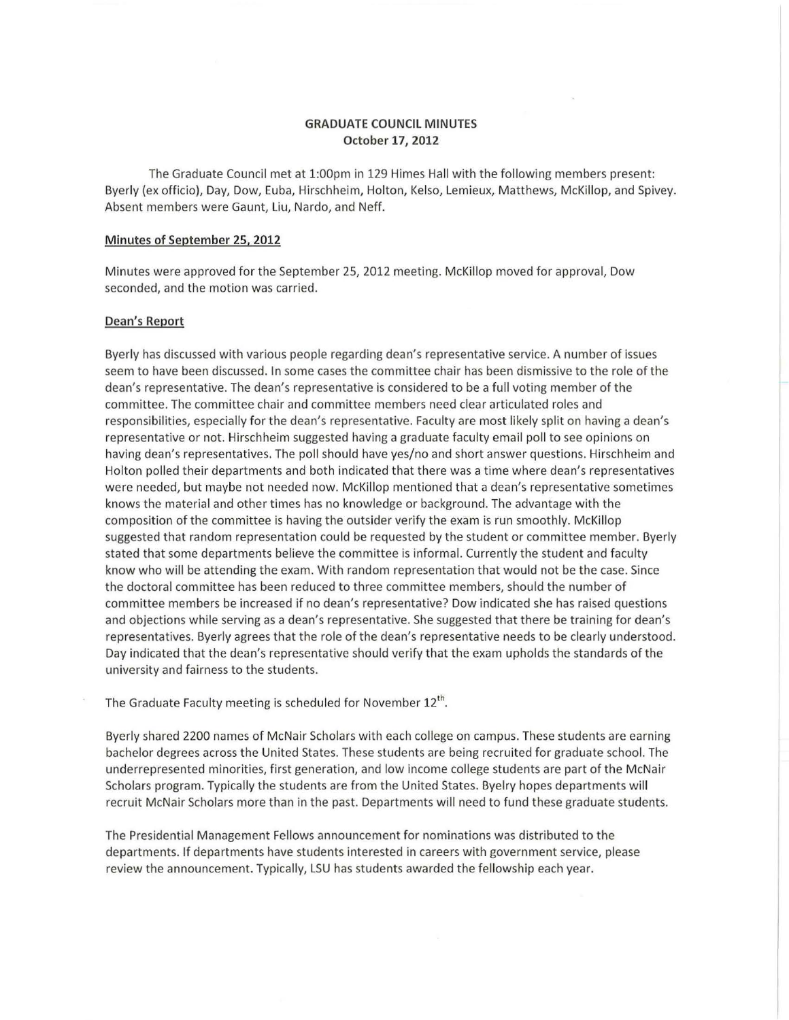# GRADUATE COUNCIL MINUTES October 17, 2012

The Graduate Council met at 1:00pm in 129 Himes Hall with the following members present: Byerly (ex officio), Day, Dow, Euba, Hirschheim, Holton, Kelso, Lemieux, Matthews, McKillop, and Spivey. Absent members were Gaunt, Liu, Nardo, and Neff.

#### Minutes of September 25, 2012

Minutes were approved for the September 25, 2012 meeting. McKillop moved for approval, Dow seconded, and the motion was carried.

# Dean's Report

Byerly has discussed with various people regarding dean's representative service. A number of issues seem to have been discussed. In some cases the committee chair has been dismissive to the role of the dean's representative. The dean's representative is considered to be a full voting member of the committee. The committee chair and committee members need clear articulated roles and responsibilities, especially for the dean's representative. Faculty are most likely split on having a dean's representative or not. Hirschheim suggested having a graduate faculty email poll to see opinions on having dean's representatives. The poll should have yes/no and short answer questions. Hirschheim and Holton polled their departments and both indicated that there was a time where dean's representatives were needed, but maybe not needed now. McKillop mentioned that a dean's representative sometimes knows the material and other times has no knowledge or background. The advantage with the composition of the committee is having the outsider verify the exam is run smoothly. McKillop suggested that random representation could be requested by the student or committee member. Byerly stated that some departments believe the committee is informal. Currently the student and faculty know who will be attending the exam. With random representation that would not be the case. Since the doctoral committee has been reduced to three committee members, should the number of committee members be increased if no dean's representative? Dow indicated she has raised questions and objections while serving as a dean's representative. She suggested that there be training for dean's representatives. Byerly agrees that the role of the dean's representative needs to be clearly understood. Day indicated that the dean's representative should verify that the exam upholds the standards of the university and fairness to the students.

The Graduate Faculty meeting is scheduled for November 12<sup>th</sup>.

Byerly shared 2200 names of McNair Scholars with each college on campus. These students are earning bachelor degrees across t he United States. These students are being recruited for graduate school. The underrepresented minorities, first generation, and low income college students are part of the McNair Scholars program. Typically the students are from the United States. Byelry hopes departments will recruit McNair Scholars more than in the past. Departments will need to fund these graduate students.

The Presidential Management Fellows announcement for nominations was distributed to the departments. If departments have students interested in careers with government service, please review the announcement. Typically, LSU has students awarded the fellowship each year.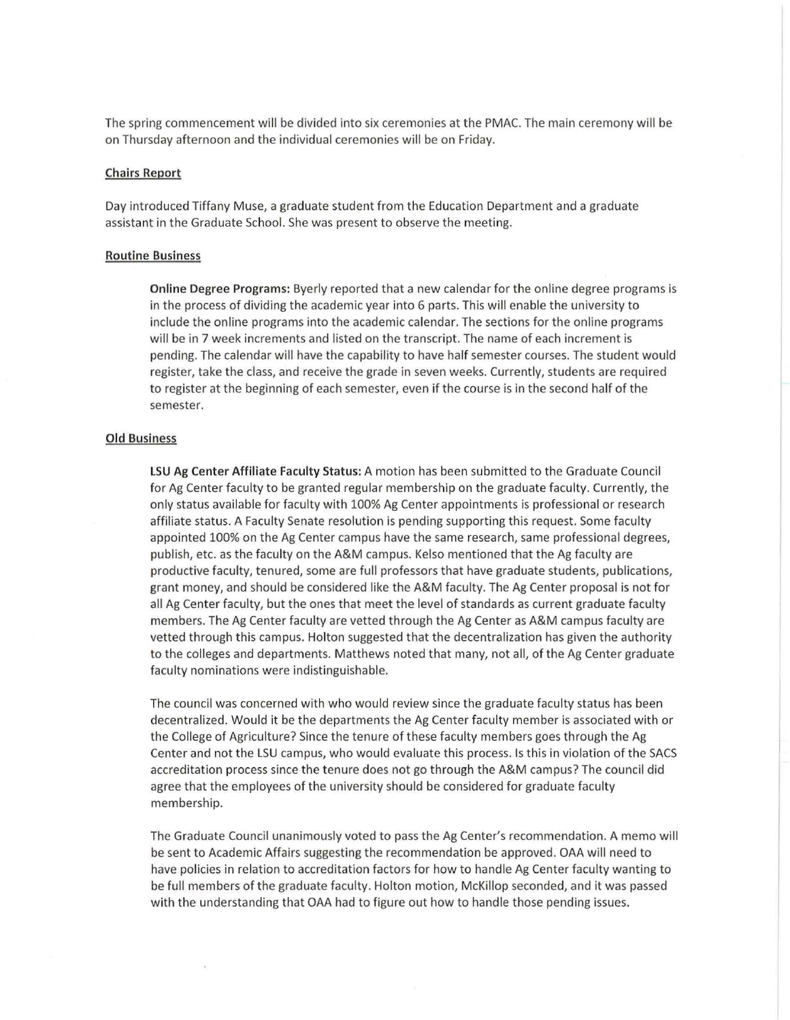The spring commencement will be divided into six ceremonies at the PMAC. The main ceremony will be on Thursday afternoon and the individual ceremonies will be on Friday.

#### Chairs Report

Day introduced Tiffany Muse, a graduate student from the Education Department and a graduate assistant in the Graduate School. She was present to observe the meeting.

# Routine Business

Online Degree Programs: Byerly reported that a new calendar for the on line degree programs is in the process of dividing the academic year into 6 parts. This will enable the university to include the online programs into the academic calendar. The sections for the online programs will be in 7 week increments and listed on the transcript. The name of each increment is pending. The calendar will have the capability to have half semester courses. The student would register, take the class, and receive the grade in seven weeks. Currently, students are required to register at the beginning of each semester, even if the course is in the second half of the semester.

## Old Business

 $\widehat{\mathfrak{g}}$ 

LSU Ag Center Affiliate Faculty Status: A motion has been submitted to the Graduate Council for Ag Center faculty to be granted regular membership on the graduate faculty. Currently, the only status available for faculty with 100% Ag Center appointments is professional or research affiliate status. A Faculty Senate resolution is pending supporting this request. Some faculty appointed 100% on the Ag Center campus have the same research, same professional degrees, publish, etc. as the faculty on the A&M campus. Kelso mentioned that the Ag faculty are productive faculty, tenured, some are full professors that have graduate students, publications, grant money, and should be considered like the A&M faculty. The Ag Center proposal is not for all Ag Center faculty, but the ones that meet the level of standards as current graduate faculty members. The Ag Center faculty are vetted through the Ag Center as A&M campus faculty are vetted through this campus. Holton suggested that the decentralization has given the authority to the colleges and departments. Matthews noted that many, not all, of the Ag Center graduate faculty nominations were indistinguishable.

The council was concerned with who would review since the graduate faculty status has been decentralized. Would it be the departments the Ag Center faculty member is associated with or the College of Agriculture? Since the tenure of these faculty members goes through the Ag Center and not the LSU campus, who would evaluate this process. Is this in violation of the SACS accreditation process since the tenure does not go through the A&M campus? The council did agree that the employees of the university should be considered for graduate faculty membership.

The Graduate Council unanimously voted to pass the Ag Center's recommendation. A memo will be sent to Academic Affairs suggesting the recommendation be approved. OAA will need to have policies in relation to accreditation factors for how to handle Ag Center faculty wanting to be full members of the graduate faculty. Holton motion, McKillop seconded, and it was passed with the understanding that OAA had to figure out how to handle those pending issues.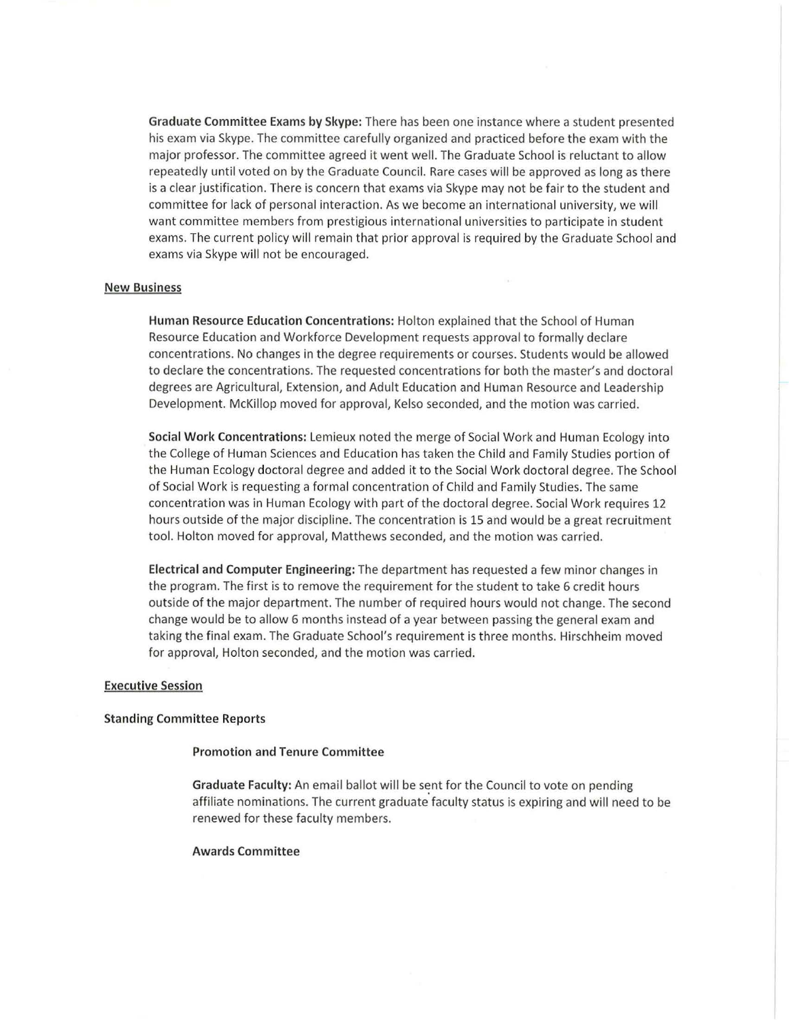Graduate Committee Exams by Skype: There has been one instance where a student presented his exam via Skype. The committee carefully organized and practiced before the exam with the major professor. The committee agreed it went well. The Graduate School is reluctant to allow repeatedly until voted on by the Graduate Council. Rare cases will be approved as long as there is a clear justification. There is concern that exams via Skype may not be fair to the student and committee for lack of personal interaction. As we become an international university, we will want committee members from prestigious international universities to participate in student exams. The current policy will remain that prior approval is required by the Graduate School and exams via Skype will not be encouraged.

# New Business

Human Resource Education Concentrations: Holton explained that the School of Human Resource Education and Workforce Development requests approval to formally declare concentrations. No changes in the degree requirements or courses. Students would be allowed to declare the concentrations. The requested concentrations for both the master's and doctoral degrees are Agricultural, Extension, and Adult Education and Human Resource and Leadership Development. McKillop moved for approval, Kelso seconded, and the motion was carried.

Social Work Concentrations: Lemieux noted the merge of Social Work and Human Ecology into the College of Human Sciences and Education has taken the Child and Family Studies portion of the Human Ecology doctoral degree and added it to the Social Work doctoral degree. The School of Social Work is requesting a formal concentration of Child and Family Studies. The same concentration was in Human Ecology with part of the doctoral degree. Social Work requires 12 hours outside of the major discipline. The concentration is 15 and would be a great recruitment tool. Holton moved for approval, Matthews seconded, and the motion was carried.

Electrical and Computer Engineering: The department has requested a few minor changes in the program. The first is to remove the requirement for the student to take 6 credit hours outside of the major department. The number of required hours would not change. The second change would be to allow 6 months instead of a year between passing the general exam and taking the final exam. The Graduate School's requirement is three months. Hirschheim moved for approval, Holton seconded, and the motion was carried.

#### Executive Session

#### Standing Committee Reports

# Promotion and Tenure Committee

Graduate Faculty: An email ballot will be sent for the Council to vote on pending affiliate nominations. The current graduate faculty status is expiring and will need to be renewed for these faculty members.

#### Awards Committee